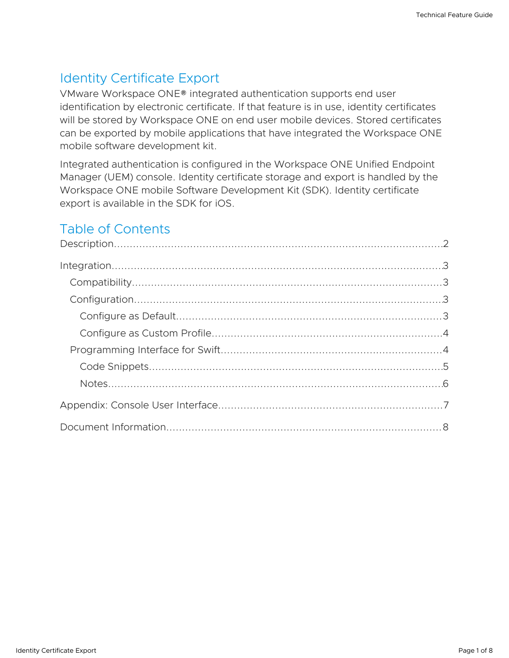# Identity Certificate Export

VMware Workspace ONE® integrated authentication supports end user identification by electronic certificate. If that feature is in use, identity certificates will be stored by Workspace ONE on end user mobile devices. Stored certificates can be exported by mobile applications that have integrated the Workspace ONE mobile software development kit.

Integrated authentication is configured in the Workspace ONE Unified Endpoint Manager (UEM) console. Identity certificate storage and export is handled by the Workspace ONE mobile Software Development Kit (SDK). Identity certificate export is available in the SDK for iOS.

# Table of Contents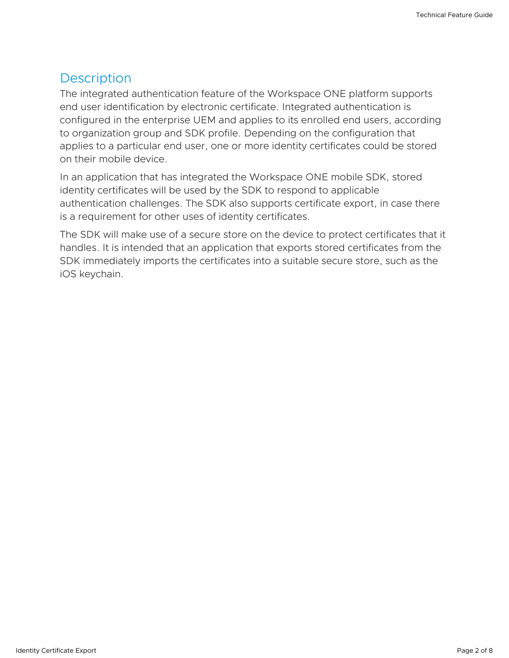### <span id="page-1-0"></span>**Description**

The integrated authentication feature of the Workspace ONE platform supports end user identification by electronic certificate. Integrated authentication is configured in the enterprise UEM and applies to its enrolled end users, according to organization group and SDK profile. Depending on the configuration that applies to a particular end user, one or more identity certificates could be stored on their mobile device.

In an application that has integrated the Workspace ONE mobile SDK, stored identity certificates will be used by the SDK to respond to applicable authentication challenges. The SDK also supports certificate export, in case there is a requirement for other uses of identity certificates.

The SDK will make use of a secure store on the device to protect certificates that it handles. It is intended that an application that exports stored certificates from the SDK immediately imports the certificates into a suitable secure store, such as the iOS keychain.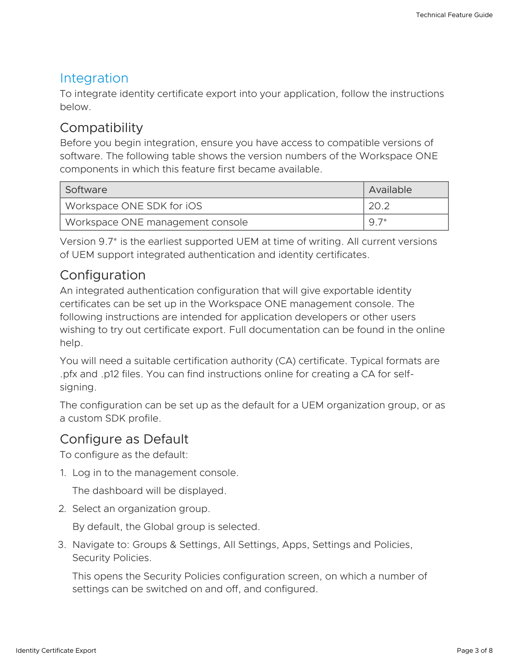### <span id="page-2-0"></span>Integration

To integrate identity certificate export into your application, follow the instructions below.

# <span id="page-2-1"></span>**Compatibility**

Before you begin integration, ensure you have access to compatible versions of software. The following table shows the version numbers of the Workspace ONE components in which this feature first became available.

| Software                         | Available |
|----------------------------------|-----------|
| Workspace ONE SDK for iOS        | 20.2      |
| Workspace ONE management console | $9.7*$    |

Version 9.7\* is the earliest supported UEM at time of writing. All current versions of UEM support integrated authentication and identity certificates.

## <span id="page-2-2"></span>Configuration

An integrated authentication configuration that will give exportable identity certificates can be set up in the Workspace ONE management console. The following instructions are intended for application developers or other users wishing to try out certificate export. Full documentation can be found in the online help.

You will need a suitable certification authority (CA) certificate. Typical formats are .pfx and .p12 files. You can find instructions online for creating a CA for selfsigning.

The configuration can be set up as the default for a UEM organization group, or as a custom SDK profile.

## <span id="page-2-3"></span>Configure as Default

To configure as the default:

1. Log in to the management console.

The dashboard will be displayed.

2. Select an organization group.

By default, the Global group is selected.

3. Navigate to: Groups & Settings, All Settings, Apps, Settings and Policies, Security Policies.

This opens the Security Policies configuration screen, on which a number of settings can be switched on and off, and configured.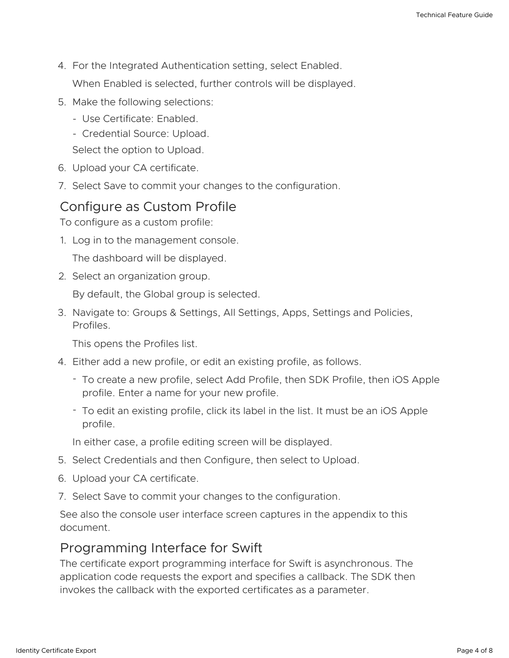- 4. For the Integrated Authentication setting, select Enabled. When Enabled is selected, further controls will be displayed.
- 5. Make the following selections:
	- Use Certificate: Enabled. -
	- Credential Source: Upload.

Select the option to Upload.

- 6. Upload your CA certificate.
- 7. Select Save to commit your changes to the configuration.

### <span id="page-3-0"></span>Configure as Custom Profile

To configure as a custom profile:

1. Log in to the management console.

The dashboard will be displayed.

2. Select an organization group.

By default, the Global group is selected.

3. Navigate to: Groups & Settings, All Settings, Apps, Settings and Policies, Profiles.

This opens the Profiles list.

- 4. Either add a new profile, or edit an existing profile, as follows.
	- To create a new profile, select Add Profile, then SDK Profile, then iOS Apple profile. Enter a name for your new profile.
	- To edit an existing profile, click its label in the list. It must be an iOS Apple profile.

In either case, a profile editing screen will be displayed.

- 5. Select Credentials and then Configure, then select to Upload.
- 6. Upload your CA certificate.
- 7. Select Save to commit your changes to the configuration.

See also the console user interface screen captures in the appendix to this document.

### <span id="page-3-1"></span>Programming Interface for Swift

The certificate export programming interface for Swift is asynchronous. The application code requests the export and specifies a callback. The SDK then invokes the callback with the exported certificates as a parameter.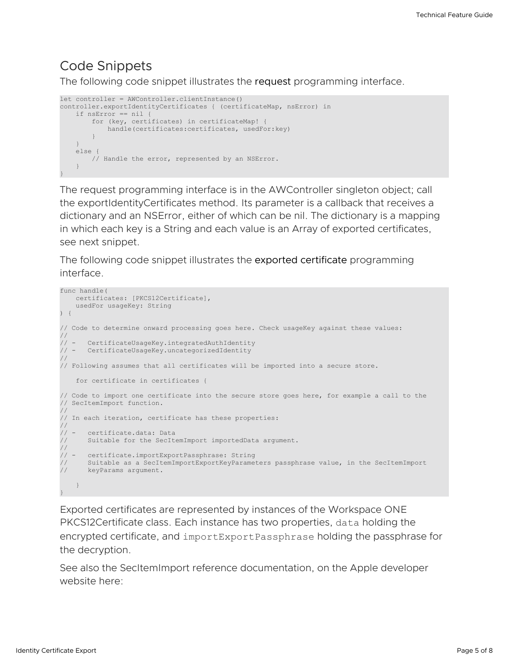### <span id="page-4-0"></span>Code Snippets

The following code snippet illustrates the request programming interface.

```
let controller = AWController.clientInstance()
controller.exportIdentityCertificates { (certificateMap, nsError) in
   if nsError == nil {
       for (key, certificates) in certificateMap! {
           handle(certificates:certificates, usedFor:key)
        }
   }
   else {
      // Handle the error, represented by an NSError.
   }
}
```
The request programming interface is in the AWController singleton object; call the exportIdentityCertificates method. Its parameter is a callback that receives a dictionary and an NSError, either of which can be nil. The dictionary is a mapping in which each key is a String and each value is an Array of exported certificates, see next snippet.

The following code snippet illustrates the exported certificate programming interface.

```
func handle(
   certificates: [PKCS12Certificate],
   usedFor usageKey: String
) {
// Code to determine onward processing goes here. Check usageKey against these values:
//
// - CertificateUsageKey.integratedAuthIdentity
       CertificateUsageKey.uncategorizedIdentity
//
// Following assumes that all certificates will be imported into a secure store.
    for certificate in certificates {
// Code to import one certificate into the secure store goes here, for example a call to the
// SecItemImport function.
//
// In each iteration, certificate has these properties:
//<br>// –
     certificate.data: Data
      Suitable for the SecItemImport importedData argument.
//
// - certificate.importExportPassphrase: String
// Suitable as a SecItemImportExportKeyParameters passphrase value, in the SecItemImport<br>// keyParams arqument.
     keyParams argument.
  }
}
```
Exported certificates are represented by instances of the Workspace ONE PKCS12Certificate class. Each instance has two properties, data holding the encrypted certificate, and importExportPassphrase holding the passphrase for the decryption.

See also the SecItemImport reference documentation, on the Apple developer website here: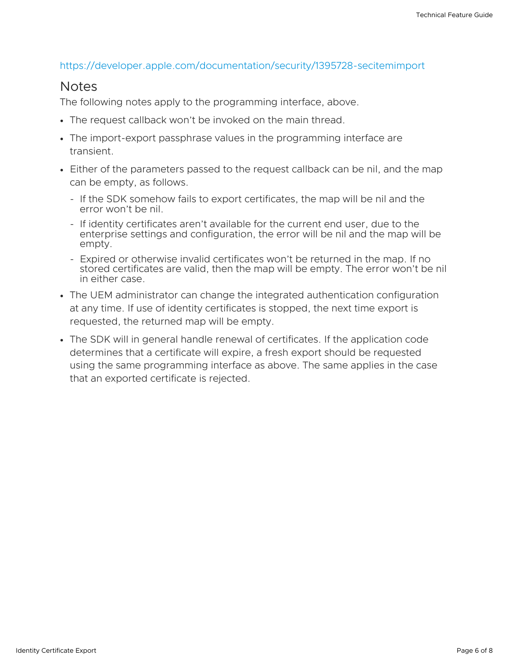### <https://developer.apple.com/documentation/security/1395728-secitemimport>

### <span id="page-5-0"></span>Notes

The following notes apply to the programming interface, above.

- The request callback won't be invoked on the main thread.
- The import-export passphrase values in the programming interface are transient.
- Either of the parameters passed to the request callback can be nil, and the map can be empty, as follows.
	- If the SDK somehow fails to export certificates, the map will be nil and the error won't be nil.
	- If identity certificates aren't available for the current end user, due to the enterprise settings and configuration, the error will be nil and the map will be empty.
	- Expired or otherwise invalid certificates won't be returned in the map. If no stored certificates are valid, then the map will be empty. The error won't be nil in either case.
- The UEM administrator can change the integrated authentication configuration at any time. If use of identity certificates is stopped, the next time export is requested, the returned map will be empty.
- The SDK will in general handle renewal of certificates. If the application code determines that a certificate will expire, a fresh export should be requested using the same programming interface as above. The same applies in the case that an exported certificate is rejected.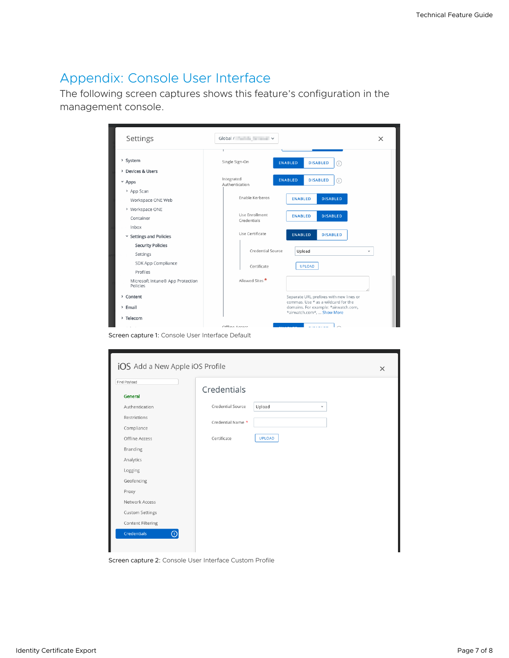# <span id="page-6-0"></span>Appendix: Console User Interface

The following screen captures shows this feature's configuration in the management console.

| Settings                                     | Global / V                    |                                                                                | $\times$ |
|----------------------------------------------|-------------------------------|--------------------------------------------------------------------------------|----------|
| > System                                     | Single Sign-On                | <b>ENABLED</b><br><b>DISABLED</b><br>(i)                                       |          |
| > Devices & Users<br>$~\times$ Apps          | Integrated<br>Authentication  | <b>ENABLED</b><br><b>DISABLED</b><br>⋒                                         |          |
| > App Scan<br>Workspace ONE Web              | Enable Kerberos               | <b>DISABLED</b><br><b>ENABLED</b>                                              |          |
| > Workspace ONE<br>Container<br>Inbox        | Use Enrollment<br>Credentials | <b>DISABLED</b><br><b>ENABLED</b>                                              |          |
| <b>Settings and Policies</b><br>v            | Use Certificate               | <b>ENABLED</b><br><b>DISABLED</b>                                              |          |
| <b>Security Policies</b><br>Settings         | Credential Source             | Upload                                                                         | v        |
| SDK App Compliance<br>Profiles               | Certificate                   | <b>UPLOAD</b>                                                                  |          |
| Microsoft Intune® App Protection<br>Policies | Allowed Sites *               |                                                                                |          |
| > Content                                    |                               | Separate URL prefixes with new lines or<br>commas. Use * as a wildcard for the |          |
| > Email<br>> Telecom                         |                               | domains. For example: *airwatch.com,<br>*airwatch.com*,  Show More             |          |
|                                              | Offling Accord                |                                                                                |          |

Screen capture 1: Console User Interface Default

| Find Payload           | Credentials       |             |  |
|------------------------|-------------------|-------------|--|
| General                |                   |             |  |
| Authentication         | Credential Source | Upload<br>v |  |
| Restrictions           | Credential Name * |             |  |
| Compliance             |                   |             |  |
| Offline Access         | Certificate       | UPLOAD      |  |
| Branding               |                   |             |  |
| Analytics              |                   |             |  |
| Logging                |                   |             |  |
| Geofencing             |                   |             |  |
| Proxy                  |                   |             |  |
| Network Access         |                   |             |  |
| <b>Custom Settings</b> |                   |             |  |
| Content Filtering      |                   |             |  |

Screen capture 2: Console User Interface Custom Profile